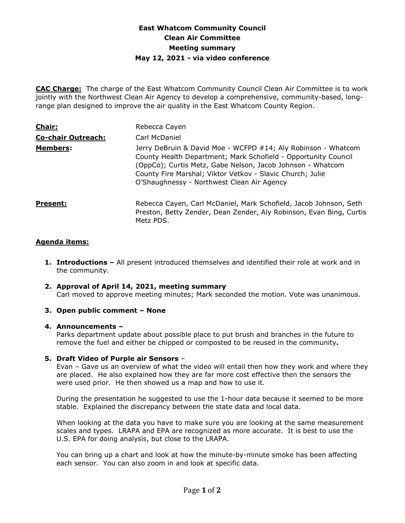# **East Whatcom Community Council Clean Air Committee Meeting summary May 12, 2021 - via video conference**

**CAC Charge:** The charge of the East Whatcom Community Council Clean Air Committee is to work jointly with the Northwest Clean Air Agency to develop a comprehensive, community-based, longrange plan designed to improve the air quality in the East Whatcom County Region.

| <b>Chair:</b>             | Rebecca Cayen                                                                                                                                                                                                                                                                                            |
|---------------------------|----------------------------------------------------------------------------------------------------------------------------------------------------------------------------------------------------------------------------------------------------------------------------------------------------------|
| <b>Co-chair Outreach:</b> | Carl McDaniel                                                                                                                                                                                                                                                                                            |
| <b>Members:</b>           | Jerry DeBruin & David Moe - WCFPD #14; Aly Robinson - Whatcom<br>County Health Department; Mark Schofield - Opportunity Council<br>(OppCo); Curtis Metz, Gabe Nelson, Jacob Johnson - Whatcom<br>County Fire Marshal; Viktor Vetkov - Slavic Church; Julie<br>O'Shaughnessy - Northwest Clean Air Agency |
| Present:                  | Rebecca Cayen, Carl McDaniel, Mark Schofield, Jacob Johnson, Seth<br>Preston, Betty Zender, Dean Zender, Aly Robinson, Evan Bing, Curtis<br>Metz PDS.                                                                                                                                                    |

## **Agenda items:**

- **1. Introductions –** All present introduced themselves and identified their role at work and in the community.
- **2. Approval of April 14, 2021, meeting summary**  Carl moved to approve meeting minutes; Mark seconded the motion. Vote was unanimous.
- **3. Open public comment – None**

#### **4. Announcements –**

Parks department update about possible place to put brush and branches in the future to remove the fuel and either be chipped or composted to be reused in the community**.**

#### **5. Draft Video of Purple air Sensors** –

Evan – Gave us an overview of what the video will entail then how they work and where they are placed. He also explained how they are far more cost effective then the sensors the were used prior. He then showed us a map and how to use it.

During the presentation he suggested to use the 1-hour data because it seemed to be more stable. Explained the discrepancy between the state data and local data.

When looking at the data you have to make sure you are looking at the same measurement scales and types. LRAPA and EPA are recognized as more accurate. It is best to use the U.S. EPA for doing analysis, but close to the LRAPA.

You can bring up a chart and look at how the minute-by-minute smoke has been affecting each sensor. You can also zoom in and look at specific data.